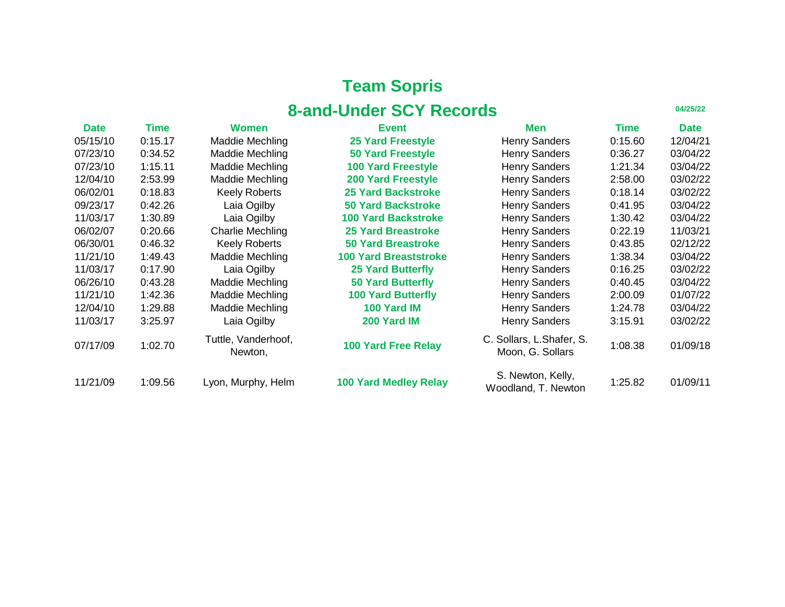| <b>Date</b> | Time    | <b>Women</b>                   | <b>Event</b>                 | Men                                           | <b>Time</b> | <b>Date</b> |
|-------------|---------|--------------------------------|------------------------------|-----------------------------------------------|-------------|-------------|
| 05/15/10    | 0:15.17 | <b>Maddie Mechling</b>         | <b>25 Yard Freestyle</b>     | <b>Henry Sanders</b>                          | 0:15.60     | 12/04/21    |
| 07/23/10    | 0:34.52 | <b>Maddie Mechling</b>         | <b>50 Yard Freestyle</b>     | <b>Henry Sanders</b>                          | 0:36.27     | 03/04/22    |
| 07/23/10    | 1:15.11 | <b>Maddie Mechling</b>         | <b>100 Yard Freestyle</b>    | <b>Henry Sanders</b>                          | 1:21.34     | 03/04/22    |
| 12/04/10    | 2:53.99 | <b>Maddie Mechling</b>         | <b>200 Yard Freestyle</b>    | <b>Henry Sanders</b>                          | 2:58.00     | 03/02/22    |
| 06/02/01    | 0:18.83 | <b>Keely Roberts</b>           | <b>25 Yard Backstroke</b>    | <b>Henry Sanders</b>                          | 0:18.14     | 03/02/22    |
| 09/23/17    | 0:42.26 | Laia Ogilby                    | <b>50 Yard Backstroke</b>    | <b>Henry Sanders</b>                          | 0:41.95     | 03/04/22    |
| 11/03/17    | 1:30.89 | Laia Ogilby                    | <b>100 Yard Backstroke</b>   | <b>Henry Sanders</b>                          | 1:30.42     | 03/04/22    |
| 06/02/07    | 0:20.66 | <b>Charlie Mechling</b>        | <b>25 Yard Breastroke</b>    | <b>Henry Sanders</b>                          | 0:22.19     | 11/03/21    |
| 06/30/01    | 0:46.32 | <b>Keely Roberts</b>           | <b>50 Yard Breastroke</b>    | <b>Henry Sanders</b>                          | 0:43.85     | 02/12/22    |
| 11/21/10    | 1:49.43 | <b>Maddie Mechling</b>         | <b>100 Yard Breaststroke</b> | <b>Henry Sanders</b>                          | 1:38.34     | 03/04/22    |
| 11/03/17    | 0:17.90 | Laia Ogilby                    | <b>25 Yard Butterfly</b>     | <b>Henry Sanders</b>                          | 0:16.25     | 03/02/22    |
| 06/26/10    | 0:43.28 | <b>Maddie Mechling</b>         | <b>50 Yard Butterfly</b>     | <b>Henry Sanders</b>                          | 0:40.45     | 03/04/22    |
| 11/21/10    | 1:42.36 | <b>Maddie Mechling</b>         | <b>100 Yard Butterfly</b>    | <b>Henry Sanders</b>                          | 2:00.09     | 01/07/22    |
| 12/04/10    | 1:29.88 | <b>Maddie Mechling</b>         | 100 Yard IM                  | <b>Henry Sanders</b>                          | 1:24.78     | 03/04/22    |
| 11/03/17    | 3:25.97 | Laia Ogilby                    | 200 Yard IM                  | <b>Henry Sanders</b>                          | 3:15.91     | 03/02/22    |
| 07/17/09    | 1:02.70 | Tuttle, Vanderhoof,<br>Newton, | <b>100 Yard Free Relay</b>   | C. Sollars, L. Shafer, S.<br>Moon, G. Sollars | 1:08.38     | 01/09/18    |
| 11/21/09    | 1:09.56 | Lyon, Murphy, Helm             | <b>100 Yard Medley Relay</b> | S. Newton, Kelly,<br>Woodland, T. Newton      | 1:25.82     | 01/09/11    |

| <b>Men</b>                                | <b>Time</b> | <b>Date</b> |
|-------------------------------------------|-------------|-------------|
| <b>Henry Sanders</b>                      | 0:15.60     | 12/04/21    |
| <b>Henry Sanders</b>                      | 0:36.27     | 03/04/22    |
| <b>Henry Sanders</b>                      | 1:21.34     | 03/04/22    |
| <b>Henry Sanders</b>                      | 2:58.00     | 03/02/22    |
| <b>Henry Sanders</b>                      | 0:18.14     | 03/02/22    |
| <b>Henry Sanders</b>                      | 0:41.95     | 03/04/22    |
| <b>Henry Sanders</b>                      | 1:30.42     | 03/04/22    |
| <b>Henry Sanders</b>                      | 0:22.19     | 11/03/21    |
| <b>Henry Sanders</b>                      | 0:43.85     | 02/12/22    |
| <b>Henry Sanders</b>                      | 1:38.34     | 03/04/22    |
| <b>Henry Sanders</b>                      | 0:16.25     | 03/02/22    |
| <b>Henry Sanders</b>                      | 0:40.45     | 03/04/22    |
| <b>Henry Sanders</b>                      | 2:00.09     | 01/07/22    |
| <b>Henry Sanders</b>                      | 1:24.78     | 03/04/22    |
| <b>Henry Sanders</b>                      | 3:15.91     | 03/02/22    |
| Sollars, L.Shafer, S.<br>Moon, G. Sollars | 1:08.38     | 01/09/18    |
|                                           |             |             |

### **Team Sopris 8-and-Under SCY Records**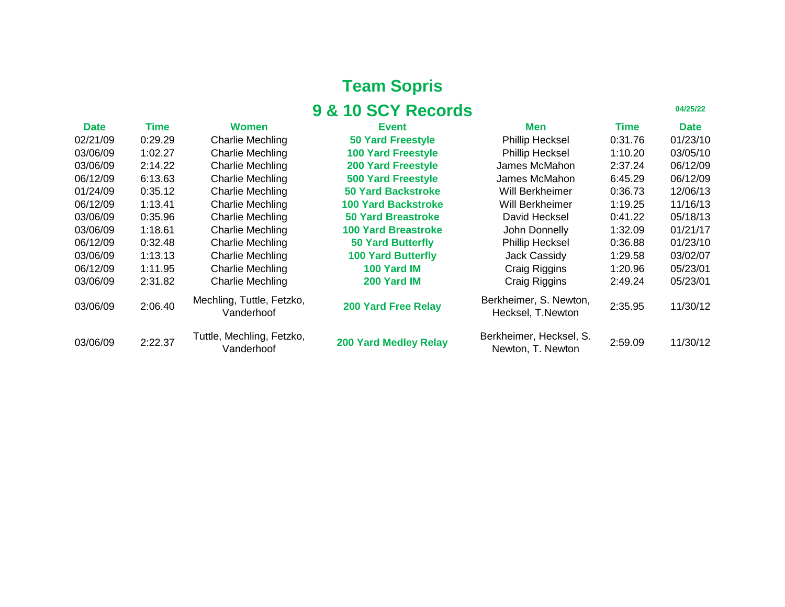| <b>9 &amp; 10 SCY Records</b><br>04/25/22 |             |                                         |                              |                                              |             |             |
|-------------------------------------------|-------------|-----------------------------------------|------------------------------|----------------------------------------------|-------------|-------------|
| <b>Date</b>                               | <b>Time</b> | <b>Women</b>                            | <b>Event</b>                 | <b>Men</b>                                   | <b>Time</b> | <b>Date</b> |
| 02/21/09                                  | 0:29.29     | <b>Charlie Mechling</b>                 | <b>50 Yard Freestyle</b>     | <b>Phillip Hecksel</b>                       | 0:31.76     | 01/23/10    |
| 03/06/09                                  | 1:02.27     | <b>Charlie Mechling</b>                 | <b>100 Yard Freestyle</b>    | <b>Phillip Hecksel</b>                       | 1:10.20     | 03/05/10    |
| 03/06/09                                  | 2:14.22     | <b>Charlie Mechling</b>                 | <b>200 Yard Freestyle</b>    | James McMahon                                | 2:37.24     | 06/12/09    |
| 06/12/09                                  | 6:13.63     | <b>Charlie Mechling</b>                 | <b>500 Yard Freestyle</b>    | <b>James McMahon</b>                         | 6:45.29     | 06/12/09    |
| 01/24/09                                  | 0:35.12     | <b>Charlie Mechling</b>                 | <b>50 Yard Backstroke</b>    | Will Berkheimer                              | 0:36.73     | 12/06/13    |
| 06/12/09                                  | 1:13.41     | <b>Charlie Mechling</b>                 | <b>100 Yard Backstroke</b>   | <b>Will Berkheimer</b>                       | 1:19.25     | 11/16/13    |
| 03/06/09                                  | 0:35.96     | <b>Charlie Mechling</b>                 | <b>50 Yard Breastroke</b>    | David Hecksel                                | 0:41.22     | 05/18/13    |
| 03/06/09                                  | 1:18.61     | <b>Charlie Mechling</b>                 | <b>100 Yard Breastroke</b>   | John Donnelly                                | 1:32.09     | 01/21/17    |
| 06/12/09                                  | 0:32.48     | <b>Charlie Mechling</b>                 | <b>50 Yard Butterfly</b>     | <b>Phillip Hecksel</b>                       | 0:36.88     | 01/23/10    |
| 03/06/09                                  | 1:13.13     | <b>Charlie Mechling</b>                 | <b>100 Yard Butterfly</b>    | <b>Jack Cassidy</b>                          | 1:29.58     | 03/02/07    |
| 06/12/09                                  | 1:11.95     | <b>Charlie Mechling</b>                 | 100 Yard IM                  | <b>Craig Riggins</b>                         | 1:20.96     | 05/23/01    |
| 03/06/09                                  | 2:31.82     | <b>Charlie Mechling</b>                 | 200 Yard IM                  | <b>Craig Riggins</b>                         | 2:49.24     | 05/23/01    |
| 03/06/09                                  | 2:06.40     | Mechling, Tuttle, Fetzko,<br>Vanderhoof | <b>200 Yard Free Relay</b>   | Berkheimer, S. Newton,<br>Hecksel, T.Newton  | 2:35.95     | 11/30/12    |
| 03/06/09                                  | 2:22.37     | Tuttle, Mechling, Fetzko,<br>Vanderhoof | <b>200 Yard Medley Relay</b> | Berkheimer, Hecksel, S.<br>Newton, T. Newton | 2:59.09     | 11/30/12    |

| Men                                       | <b>Time</b> | <b>Date</b> |
|-------------------------------------------|-------------|-------------|
| <b>Phillip Hecksel</b>                    | 0:31.76     | 01/23/10    |
| <b>Phillip Hecksel</b>                    | 1:10.20     | 03/05/10    |
| James McMahon                             | 2:37.24     | 06/12/09    |
| James McMahon                             | 6:45.29     | 06/12/09    |
| Will Berkheimer                           | 0:36.73     | 12/06/13    |
| <b>Will Berkheimer</b>                    | 1:19.25     | 11/16/13    |
| David Hecksel                             | 0:41.22     | 05/18/13    |
| <b>John Donnelly</b>                      | 1:32.09     | 01/21/17    |
| <b>Phillip Hecksel</b>                    | 0:36.88     | 01/23/10    |
| <b>Jack Cassidy</b>                       | 1:29.58     | 03/02/07    |
| <b>Craig Riggins</b>                      | 1:20.96     | 05/23/01    |
| <b>Craig Riggins</b>                      | 2:49.24     | 05/23/01    |
| rkheimer, S. Newton,<br>Hecksel, T.Newton | 2:35.95     | 11/30/12    |
|                                           |             |             |

**Team Sopris**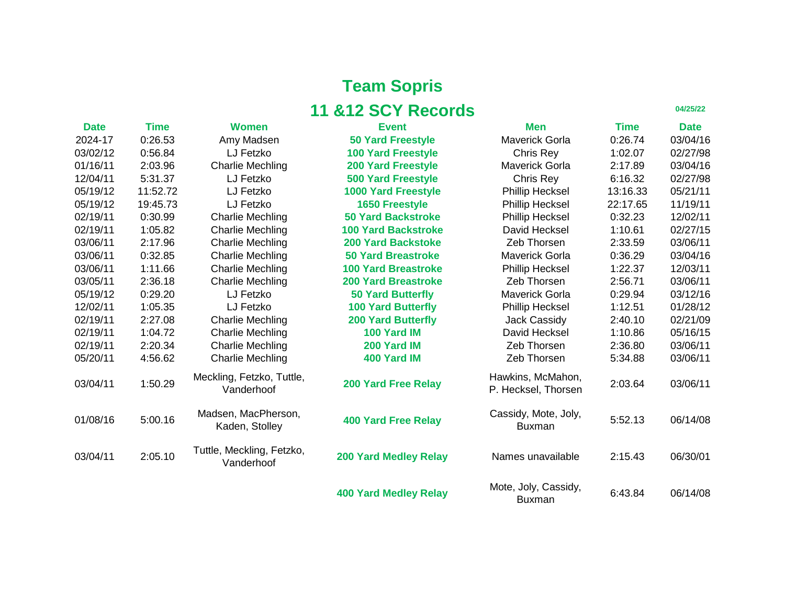|             |          |                                         | <b>11 &amp;12 SCY Records</b> |                                          |          | 04/25/22    |
|-------------|----------|-----------------------------------------|-------------------------------|------------------------------------------|----------|-------------|
| <b>Date</b> | Time     | <b>Women</b>                            | <b>Event</b>                  | <b>Men</b>                               | Time     | <b>Date</b> |
| 2024-17     | 0:26.53  | Amy Madsen                              | <b>50 Yard Freestyle</b>      | <b>Maverick Gorla</b>                    | 0:26.74  | 03/04/16    |
| 03/02/12    | 0:56.84  | LJ Fetzko                               | <b>100 Yard Freestyle</b>     | Chris Rey                                | 1:02.07  | 02/27/98    |
| 01/16/11    | 2:03.96  | <b>Charlie Mechling</b>                 | <b>200 Yard Freestyle</b>     | <b>Maverick Gorla</b>                    | 2:17.89  | 03/04/16    |
| 12/04/11    | 5:31.37  | LJ Fetzko                               | <b>500 Yard Freestyle</b>     | Chris Rey                                | 6:16.32  | 02/27/98    |
| 05/19/12    | 11:52.72 | LJ Fetzko                               | <b>1000 Yard Freestyle</b>    | <b>Phillip Hecksel</b>                   | 13:16.33 | 05/21/11    |
| 05/19/12    | 19:45.73 | LJ Fetzko                               | <b>1650 Freestyle</b>         | <b>Phillip Hecksel</b>                   | 22:17.65 | 11/19/11    |
| 02/19/11    | 0:30.99  | <b>Charlie Mechling</b>                 | <b>50 Yard Backstroke</b>     | <b>Phillip Hecksel</b>                   | 0:32.23  | 12/02/11    |
| 02/19/11    | 1:05.82  | <b>Charlie Mechling</b>                 | <b>100 Yard Backstroke</b>    | David Hecksel                            | 1:10.61  | 02/27/15    |
| 03/06/11    | 2:17.96  | <b>Charlie Mechling</b>                 | <b>200 Yard Backstoke</b>     | Zeb Thorsen                              | 2:33.59  | 03/06/11    |
| 03/06/11    | 0:32.85  | <b>Charlie Mechling</b>                 | <b>50 Yard Breastroke</b>     | <b>Maverick Gorla</b>                    | 0:36.29  | 03/04/16    |
| 03/06/11    | 1:11.66  | <b>Charlie Mechling</b>                 | <b>100 Yard Breastroke</b>    | <b>Phillip Hecksel</b>                   | 1:22.37  | 12/03/11    |
| 03/05/11    | 2:36.18  | <b>Charlie Mechling</b>                 | <b>200 Yard Breastroke</b>    | <b>Zeb Thorsen</b>                       | 2:56.71  | 03/06/11    |
| 05/19/12    | 0:29.20  | LJ Fetzko                               | <b>50 Yard Butterfly</b>      | <b>Maverick Gorla</b>                    | 0:29.94  | 03/12/16    |
| 12/02/11    | 1:05.35  | LJ Fetzko                               | <b>100 Yard Butterfly</b>     | <b>Phillip Hecksel</b>                   | 1:12.51  | 01/28/12    |
| 02/19/11    | 2:27.08  | <b>Charlie Mechling</b>                 | <b>200 Yard Butterfly</b>     | <b>Jack Cassidy</b>                      | 2:40.10  | 02/21/09    |
| 02/19/11    | 1:04.72  | <b>Charlie Mechling</b>                 | 100 Yard IM                   | David Hecksel                            | 1:10.86  | 05/16/15    |
| 02/19/11    | 2:20.34  | <b>Charlie Mechling</b>                 | 200 Yard IM                   | Zeb Thorsen                              | 2:36.80  | 03/06/11    |
| 05/20/11    | 4:56.62  | <b>Charlie Mechling</b>                 | 400 Yard IM                   | Zeb Thorsen                              | 5:34.88  | 03/06/11    |
| 03/04/11    | 1:50.29  | Meckling, Fetzko, Tuttle,<br>Vanderhoof | <b>200 Yard Free Relay</b>    | Hawkins, McMahon,<br>P. Hecksel, Thorsen | 2:03.64  | 03/06/11    |
| 01/08/16    | 5:00.16  | Madsen, MacPherson,<br>Kaden, Stolley   | <b>400 Yard Free Relay</b>    | Cassidy, Mote, Joly,<br><b>Buxman</b>    | 5:52.13  | 06/14/08    |
| 03/04/11    | 2:05.10  | Tuttle, Meckling, Fetzko,<br>Vanderhoof | <b>200 Yard Medley Relay</b>  | Names unavailable                        | 2:15.43  | 06/30/01    |
|             |          |                                         | <b>400 Yard Medley Relay</b>  | Mote, Joly, Cassidy,<br><b>Ruymon</b>    | 6:43.84  | 06/14/08    |

| Men                                      | Time     | <b>Date</b> |
|------------------------------------------|----------|-------------|
| Maverick Gorla                           | 0:26.74  | 03/04/16    |
| <b>Chris Rey</b>                         | 1:02.07  | 02/27/98    |
| Maverick Gorla                           | 2:17.89  | 03/04/16    |
| <b>Chris Rey</b>                         | 6:16.32  | 02/27/98    |
| <b>Phillip Hecksel</b>                   | 13:16.33 | 05/21/11    |
| <b>Phillip Hecksel</b>                   | 22:17.65 | 11/19/11    |
| <b>Phillip Hecksel</b>                   | 0:32.23  | 12/02/11    |
| <b>David Hecksel</b>                     | 1:10.61  | 02/27/15    |
| <b>Zeb Thorsen</b>                       | 2:33.59  | 03/06/11    |
| <b>Maverick Gorla</b>                    | 0:36.29  | 03/04/16    |
| <b>Phillip Hecksel</b>                   | 1:22.37  | 12/03/11    |
| <b>Zeb Thorsen</b>                       | 2:56.71  | 03/06/11    |
| <b>Maverick Gorla</b>                    | 0:29.94  | 03/12/16    |
| <b>Phillip Hecksel</b>                   | 1:12.51  | 01/28/12    |
| <b>Jack Cassidy</b>                      | 2:40.10  | 02/21/09    |
| <b>David Hecksel</b>                     | 1:10.86  | 05/16/15    |
| <b>Zeb Thorsen</b>                       | 2:36.80  | 03/06/11    |
| <b>Zeb Thorsen</b>                       | 5:34.88  | 03/06/11    |
| Hawkins, McMahon,<br>P. Hecksel, Thorsen | 2:03.64  | 03/06/11    |
| Cassidy, Mote, Joly,<br><b>Buxman</b>    | 5:52.13  | 06/14/08    |
| Names unavailable                        | 2:15.43  | 06/30/01    |
| Mote, Joly, Cassidy,<br><b>Buxman</b>    | 6:43.84  | 06/14/08    |

**Buxman** 

**Team Sopris**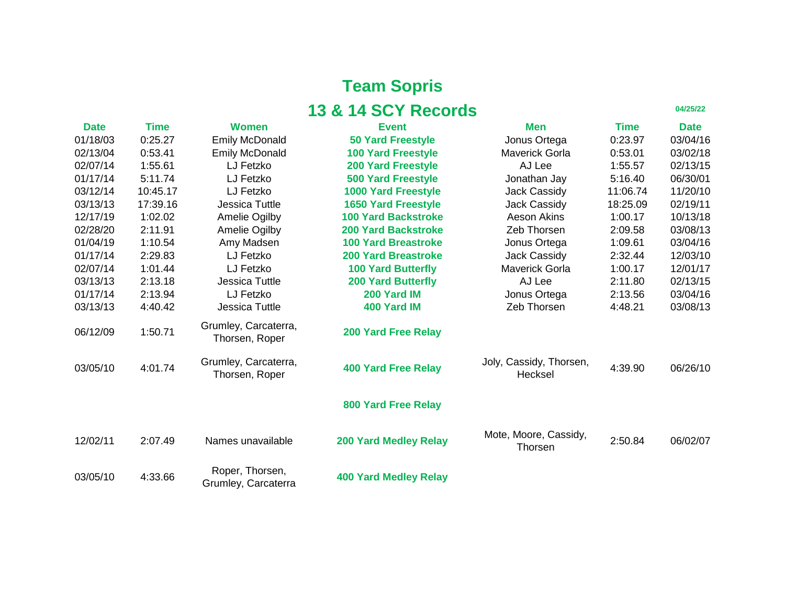| Time     | <b>Date</b> |
|----------|-------------|
| 0:23.97  | 03/04/16    |
| 0:53.01  | 03/02/18    |
| 1:55.57  | 02/13/15    |
| 5:16.40  | 06/30/01    |
| 11:06.74 | 11/20/10    |
| 18:25.09 | 02/19/11    |
| 1:00.17  | 10/13/18    |
| 2:09.58  | 03/08/13    |
| 1:09.61  | 03/04/16    |
| 2:32.44  | 12/03/10    |
| 1:00.17  | 12/01/17    |
| 2:11.80  | 02/13/15    |
| 2:13.56  | 03/04/16    |
| 4:48.21  | 03/08/13    |

| <b>Date</b> | <b>Time</b> | <b>Women</b>                           | <b>Event</b>                 | <b>Men</b>                              | Time     | <b>Date</b> |
|-------------|-------------|----------------------------------------|------------------------------|-----------------------------------------|----------|-------------|
| 01/18/03    | 0:25.27     | <b>Emily McDonald</b>                  | <b>50 Yard Freestyle</b>     | Jonus Ortega                            | 0:23.97  | 03/04/16    |
| 02/13/04    | 0:53.41     | <b>Emily McDonald</b>                  | <b>100 Yard Freestyle</b>    | <b>Maverick Gorla</b>                   | 0:53.01  | 03/02/18    |
| 02/07/14    | 1:55.61     | LJ Fetzko                              | <b>200 Yard Freestyle</b>    | AJ Lee                                  | 1:55.57  | 02/13/15    |
| 01/17/14    | 5:11.74     | LJ Fetzko                              | <b>500 Yard Freestyle</b>    | Jonathan Jay                            | 5:16.40  | 06/30/01    |
| 03/12/14    | 10:45.17    | LJ Fetzko                              | <b>1000 Yard Freestyle</b>   | <b>Jack Cassidy</b>                     | 11:06.74 | 11/20/10    |
| 03/13/13    | 17:39.16    | <b>Jessica Tuttle</b>                  | <b>1650 Yard Freestyle</b>   | <b>Jack Cassidy</b>                     | 18:25.09 | 02/19/11    |
| 12/17/19    | 1:02.02     | <b>Amelie Ogilby</b>                   | <b>100 Yard Backstroke</b>   | <b>Aeson Akins</b>                      | 1:00.17  | 10/13/18    |
| 02/28/20    | 2:11.91     | <b>Amelie Ogilby</b>                   | <b>200 Yard Backstroke</b>   | Zeb Thorsen                             | 2:09.58  | 03/08/13    |
| 01/04/19    | 1:10.54     | Amy Madsen                             | <b>100 Yard Breastroke</b>   | Jonus Ortega                            | 1:09.61  | 03/04/16    |
| 01/17/14    | 2:29.83     | LJ Fetzko                              | <b>200 Yard Breastroke</b>   | <b>Jack Cassidy</b>                     | 2:32.44  | 12/03/10    |
| 02/07/14    | 1:01.44     | LJ Fetzko                              | <b>100 Yard Butterfly</b>    | <b>Maverick Gorla</b>                   | 1:00.17  | 12/01/17    |
| 03/13/13    | 2:13.18     | <b>Jessica Tuttle</b>                  | <b>200 Yard Butterfly</b>    | AJ Lee                                  | 2:11.80  | 02/13/15    |
| 01/17/14    | 2:13.94     | LJ Fetzko                              | 200 Yard IM                  | Jonus Ortega                            | 2:13.56  | 03/04/16    |
| 03/13/13    | 4:40.42     | <b>Jessica Tuttle</b>                  | 400 Yard IM                  | Zeb Thorsen                             | 4:48.21  | 03/08/13    |
| 06/12/09    | 1:50.71     | Grumley, Carcaterra,<br>Thorsen, Roper | <b>200 Yard Free Relay</b>   |                                         |          |             |
| 03/05/10    | 4:01.74     | Grumley, Carcaterra,<br>Thorsen, Roper | <b>400 Yard Free Relay</b>   | Joly, Cassidy, Thorsen,<br>Hecksel      | 4:39.90  | 06/26/10    |
|             |             |                                        | <b>800 Yard Free Relay</b>   |                                         |          |             |
| 12/02/11    | 2:07.49     | Names unavailable                      | <b>200 Yard Medley Relay</b> | Mote, Moore, Cassidy,<br><b>Thorsen</b> | 2:50.84  | 06/02/07    |
| 03/05/10    | 4:33.66     | Roper, Thorsen,<br>Grumley, Carcaterra | <b>400 Yard Medley Relay</b> |                                         |          |             |

# **Team Sopris 13 & 14 SCY Records**